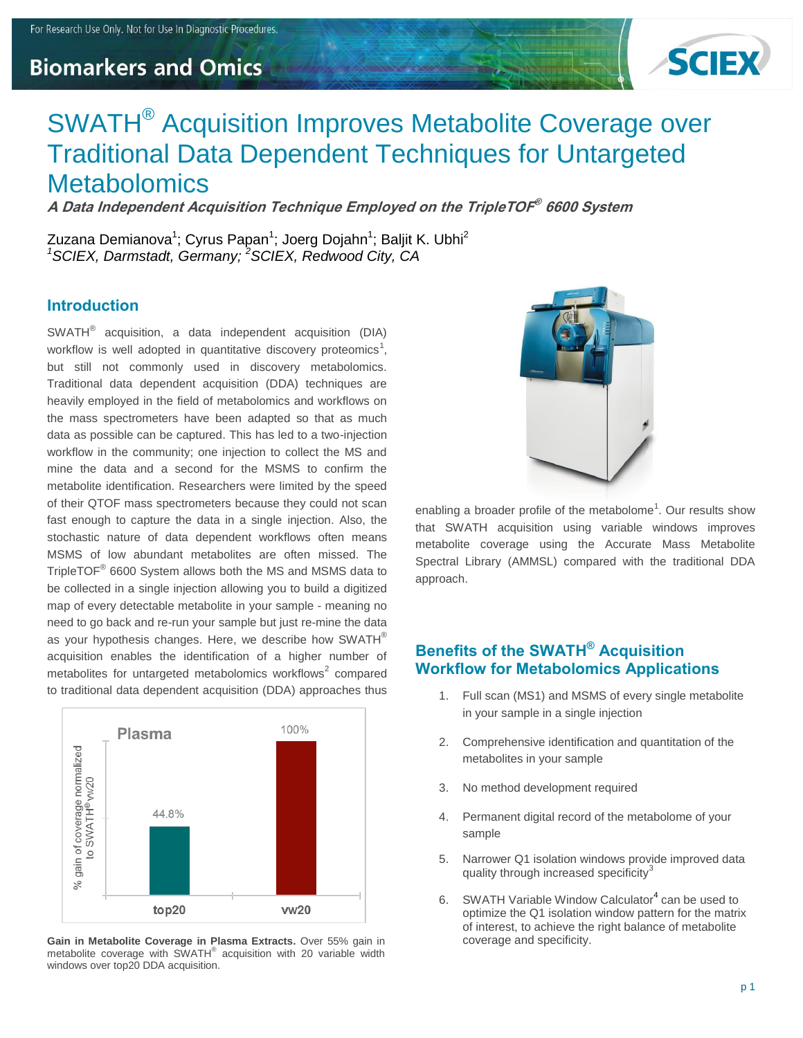# **Biomarkers and Omics**



# SWATH® Acquisition Improves Metabolite Coverage over Traditional Data Dependent Techniques for Untargeted **Metabolomics**

**A Data Independent Acquisition Technique Employed on the TripleTOF ® 6600 System**

Zuzana Demianova<sup>1</sup>; Cyrus Papan<sup>1</sup>; Joerg Dojahn<sup>1</sup>; Baljit K. Ubhi<sup>2</sup> *<sup>1</sup>SCIEX, Darmstadt, Germany; <sup>2</sup>SCIEX, Redwood City, CA*

### **Introduction**

SWATH $^{\circ}$  acquisition, a data independent acquisition (DIA) workflow is well adopted in quantitative discovery proteomics<sup>1</sup>, but still not commonly used in discovery metabolomics. Traditional data dependent acquisition (DDA) techniques are heavily employed in the field of metabolomics and workflows on the mass spectrometers have been adapted so that as much data as possible can be captured. This has led to a two-injection workflow in the community; one injection to collect the MS and mine the data and a second for the MSMS to confirm the metabolite identification. Researchers were limited by the speed of their QTOF mass spectrometers because they could not scan fast enough to capture the data in a single injection. Also, the stochastic nature of data dependent workflows often means MSMS of low abundant metabolites are often missed. The TripleTOF $^{\circledast}$  6600 System allows both the MS and MSMS data to be collected in a single injection allowing you to build a digitized map of every detectable metabolite in your sample - meaning no need to go back and re-run your sample but just re-mine the data as your hypothesis changes. Here, we describe how SWATH<sup>®</sup> acquisition enables the identification of a higher number of metabolites for untargeted metabolomics workflows<sup>2</sup> compared to traditional data dependent acquisition (DDA) approaches thus



Gain in Metabolite Coverage in Plasma Extracts. Over 55% gain in **coverage and specificity**. metabolite coverage with SWATH® acquisition with 20 variable width windows over top20 DDA acquisition.



enabling a broader profile of the metabolome $1$ . Our results show that SWATH acquisition using variable windows improves metabolite coverage using the Accurate Mass Metabolite Spectral Library (AMMSL) compared with the traditional DDA approach.

## **Benefits of the SWATH® Acquisition Workflow for Metabolomics Applications**

- 1. Full scan (MS1) and MSMS of every single metabolite in your sample in a single injection
- 2. Comprehensive identification and quantitation of the metabolites in your sample
- 3. No method development required
- 4. Permanent digital record of the metabolome of your sample
- 5. Narrower Q1 isolation windows provide improved data quality through increased specificity<sup>3</sup>
- 6. SWATH Variable Window Calculator<sup>4</sup> can be used to optimize the Q1 isolation window pattern for the matrix of interest, to achieve the right balance of metabolite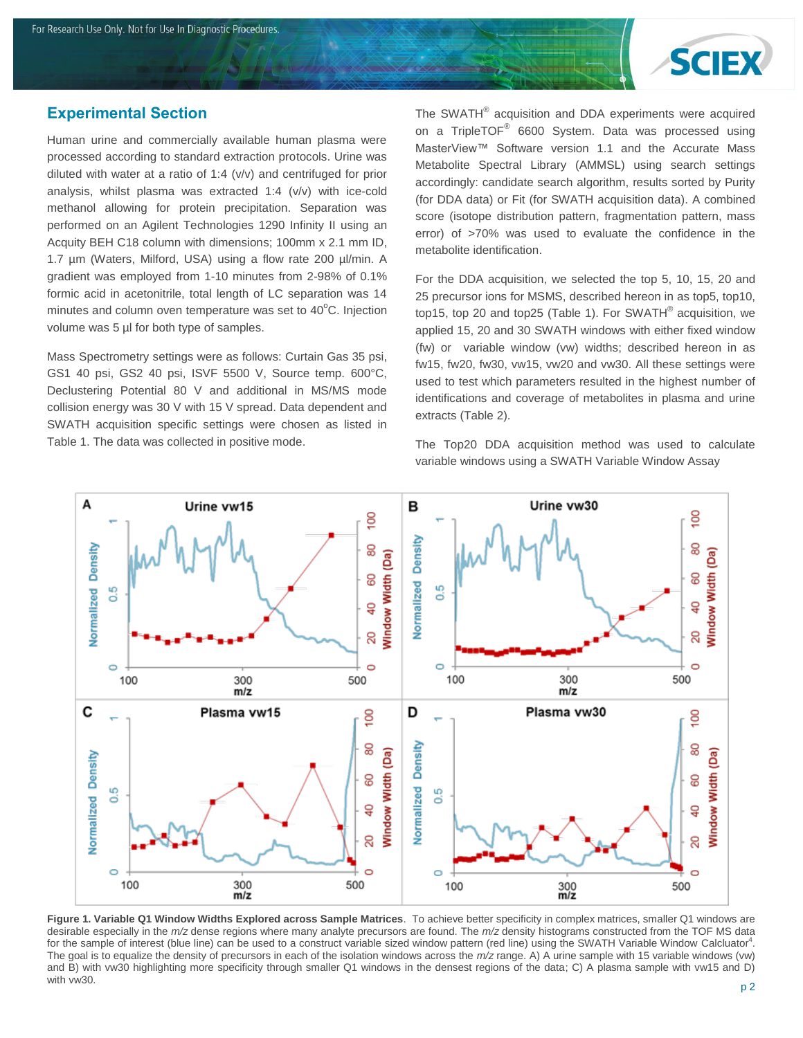

#### **Experimental Section**

Human urine and commercially available human plasma were processed according to standard extraction protocols. Urine was diluted with water at a ratio of 1:4 (v/v) and centrifuged for prior analysis, whilst plasma was extracted 1:4 (v/v) with ice-cold methanol allowing for protein precipitation. Separation was performed on an Agilent Technologies 1290 Infinity II using an Acquity BEH C18 column with dimensions; 100mm x 2.1 mm ID, 1.7 µm (Waters, Milford, USA) using a flow rate 200 µl/min. A gradient was employed from 1-10 minutes from 2-98% of 0.1% formic acid in acetonitrile, total length of LC separation was 14 minutes and column oven temperature was set to  $40^{\circ}$ C. Injection volume was 5 µl for both type of samples.

Mass Spectrometry settings were as follows: Curtain Gas 35 psi, GS1 40 psi, GS2 40 psi, ISVF 5500 V, Source temp. 600°C, Declustering Potential 80 V and additional in MS/MS mode collision energy was 30 V with 15 V spread. Data dependent and SWATH acquisition specific settings were chosen as listed in Table 1. The data was collected in positive mode.

The SWATH<sup>®</sup> acquisition and DDA experiments were acquired on a TripleTOF<sup>®</sup> 6600 System. Data was processed using MasterView™ Software version 1.1 and the Accurate Mass Metabolite Spectral Library (AMMSL) using search settings accordingly: candidate search algorithm, results sorted by Purity (for DDA data) or Fit (for SWATH acquisition data). A combined score (isotope distribution pattern, fragmentation pattern, mass error) of >70% was used to evaluate the confidence in the metabolite identification.

For the DDA acquisition, we selected the top 5, 10, 15, 20 and 25 precursor ions for MSMS, described hereon in as top5, top10, top15, top 20 and top25 (Table 1). For SWATH $^{\circledR}$  acquisition, we applied 15, 20 and 30 SWATH windows with either fixed window (fw) or variable window (vw) widths; described hereon in as fw15, fw20, fw30, vw15, vw20 and vw30. All these settings were used to test which parameters resulted in the highest number of identifications and coverage of metabolites in plasma and urine extracts (Table 2).

The Top20 DDA acquisition method was used to calculate variable windows using a SWATH Variable Window Assay



**Figure 1. Variable Q1 Window Widths Explored across Sample Matrices**. To achieve better specificity in complex matrices, smaller Q1 windows are desirable especially in the *m/z* dense regions where many analyte precursors are found. The *m/z* density histograms constructed from the TOF MS data for the sample of interest (blue line) can be used to a construct variable sized window pattern (red line) using the SWATH Variable Window Calcluator<sup>4</sup>. The goal is to equalize the density of precursors in each of the isolation windows across the *m/z* range. A) A urine sample with 15 variable windows (vw) and B) with vw30 highlighting more specificity through smaller Q1 windows in the densest regions of the data; C) A plasma sample with vw15 and D) with vw30.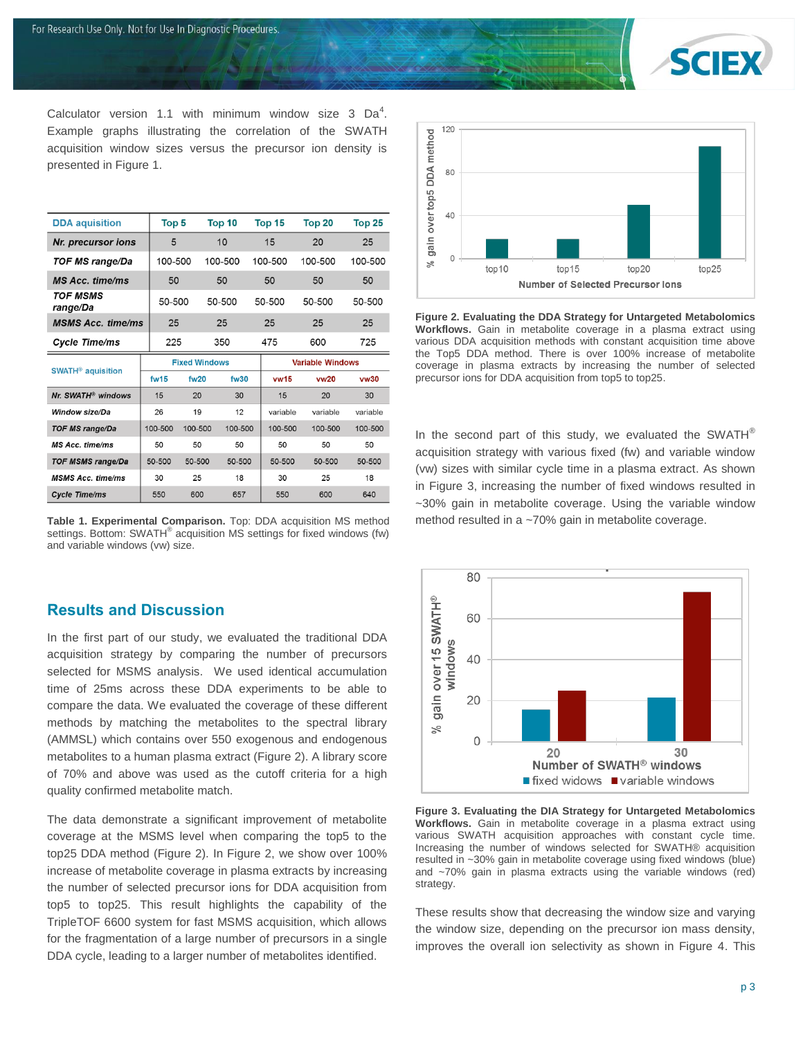

Calculator version 1.1 with minimum window size 3 Da<sup>4</sup>. Example graphs illustrating the correlation of the SWATH acquisition window sizes versus the precursor ion density is presented in Figure 1.

| <b>DDA</b> aquisition               | Top 5                |             | Top 10  | Top 15           | Top 20                  | Top 25      |  |
|-------------------------------------|----------------------|-------------|---------|------------------|-------------------------|-------------|--|
| Nr. precursor ions                  | 5                    |             | 10      | 15               | 20                      | 25          |  |
| <b>TOF MS range/Da</b>              | 100-500              |             | 100-500 | 100-500          | 100-500                 | 100-500     |  |
| <b>MS Acc. time/ms</b>              | 50                   |             | 50      | 50               | 50                      | 50          |  |
| TOF MSMS<br>range/Da                | 50-500               |             | 50-500  | 50-500           | 50-500                  | 50-500      |  |
| <b>MSMS Acc. time/ms</b>            | 25                   |             | 25      | 25               | 25                      | 25          |  |
| Cycle Time/ms                       | 225                  |             | 350     | 475              | 600                     | 725         |  |
|                                     | <b>Fixed Windows</b> |             |         |                  | <b>Variable Windows</b> |             |  |
|                                     |                      |             |         |                  |                         |             |  |
| <b>SWATH<sup>®</sup></b> aquisition | fw <sub>15</sub>     | <b>fw20</b> | fw30    | vw <sub>15</sub> | <b>vw20</b>             | <b>vw30</b> |  |
| Nr. SWATH <sup>®</sup> windows      | 15                   | 20          | 30      | 15               | 20                      | 30          |  |
| Window size/Da                      | 26                   | 19          | 12      | variable         | variable                | variable    |  |
| <b>TOF MS range/Da</b>              | 100-500              | 100-500     | 100-500 | 100-500          | 100-500                 | 100-500     |  |
| <b>MS Acc. time/ms</b>              | 50                   | 50          | 50      | 50               | 50                      | 50          |  |
| <b>TOF MSMS range/Da</b>            | 50-500               | 50-500      | 50-500  | 50-500           | 50-500                  | 50-500      |  |
| <b>MSMS Acc. time/ms</b>            | 30                   | 25          | 18      | 30               | 25                      | 18          |  |

**Table 1. Experimental Comparison.** Top: DDA acquisition MS method settings. Bottom: SWATH<sup>®</sup> acquisition MS settings for fixed windows (fw) and variable windows (vw) size.

#### **Results and Discussion**

In the first part of our study, we evaluated the traditional DDA acquisition strategy by comparing the number of precursors selected for MSMS analysis. We used identical accumulation time of 25ms across these DDA experiments to be able to compare the data. We evaluated the coverage of these different methods by matching the metabolites to the spectral library (AMMSL) which contains over 550 exogenous and endogenous metabolites to a human plasma extract (Figure 2). A library score of 70% and above was used as the cutoff criteria for a high quality confirmed metabolite match.

The data demonstrate a significant improvement of metabolite coverage at the MSMS level when comparing the top5 to the top25 DDA method (Figure 2). In Figure 2, we show over 100% increase of metabolite coverage in plasma extracts by increasing the number of selected precursor ions for DDA acquisition from top5 to top25. This result highlights the capability of the TripleTOF 6600 system for fast MSMS acquisition, which allows for the fragmentation of a large number of precursors in a single DDA cycle, leading to a larger number of metabolites identified.



**Figure 2. Evaluating the DDA Strategy for Untargeted Metabolomics Workflows.** Gain in metabolite coverage in a plasma extract using various DDA acquisition methods with constant acquisition time above the Top5 DDA method. There is over 100% increase of metabolite coverage in plasma extracts by increasing the number of selected precursor ions for DDA acquisition from top5 to top25.

In the second part of this study, we evaluated the SWATH<sup>®</sup> acquisition strategy with various fixed (fw) and variable window (vw) sizes with similar cycle time in a plasma extract. As shown in Figure 3, increasing the number of fixed windows resulted in ~30% gain in metabolite coverage. Using the variable window method resulted in a ~70% gain in metabolite coverage.



**Figure 3. Evaluating the DIA Strategy for Untargeted Metabolomics Workflows.** Gain in metabolite coverage in a plasma extract using various SWATH acquisition approaches with constant cycle time. Increasing the number of windows selected for SWATH® acquisition resulted in ~30% gain in metabolite coverage using fixed windows (blue) and ~70% gain in plasma extracts using the variable windows (red) strategy.

These results show that decreasing the window size and varying the window size, depending on the precursor ion mass density, improves the overall ion selectivity as shown in Figure 4. This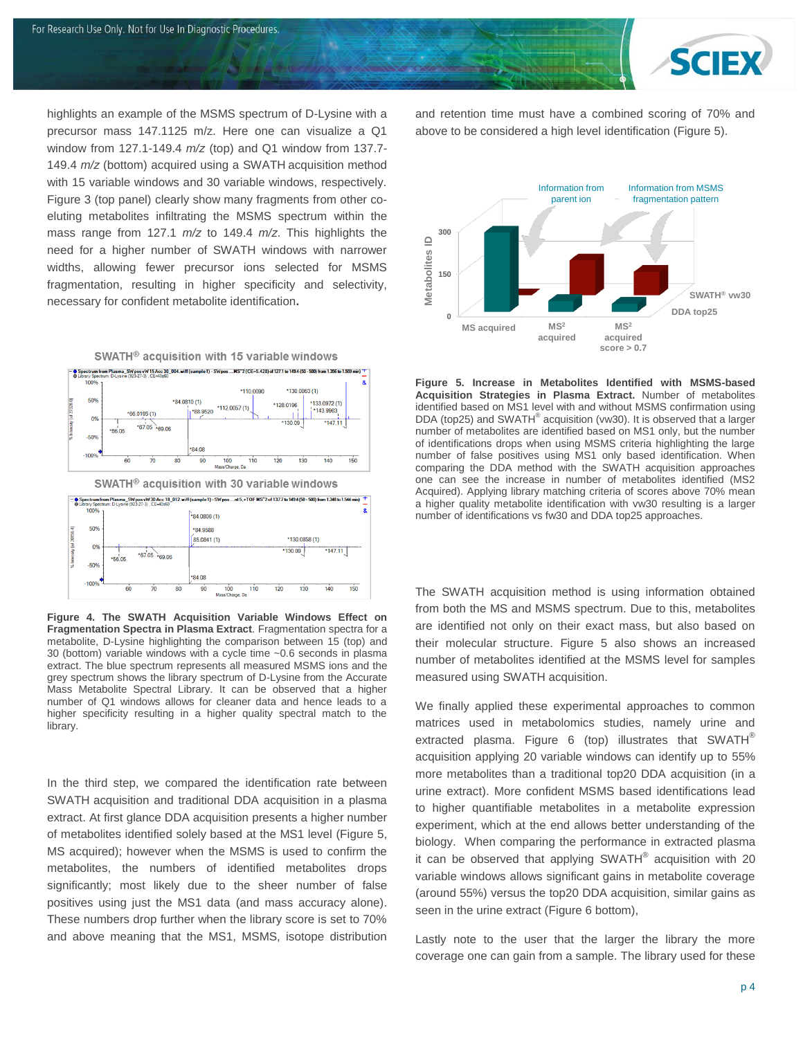

highlights an example of the MSMS spectrum of D-Lysine with a precursor mass 147.1125 m/z. Here one can visualize a Q1 window from 127.1-149.4 *m/z* (top) and Q1 window from 137.7- 149.4 *m/z* (bottom) acquired using a SWATH acquisition method with 15 variable windows and 30 variable windows, respectively. Figure 3 (top panel) clearly show many fragments from other coeluting metabolites infiltrating the MSMS spectrum within the mass range from 127.1 *m/z* to 149.4 *m/z*. This highlights the need for a higher number of SWATH windows with narrower widths, allowing fewer precursor ions selected for MSMS fragmentation, resulting in higher specificity and selectivity, necessary for confident metabolite identification**.**



**Figure 4. The SWATH Acquisition Variable Windows Effect on Fragmentation Spectra in Plasma Extract**. Fragmentation spectra for a metabolite, D-Lysine highlighting the comparison between 15 (top) and 30 (bottom) variable windows with a cycle time ~0.6 seconds in plasma extract. The blue spectrum represents all measured MSMS ions and the grey spectrum shows the library spectrum of D-Lysine from the Accurate Mass Metabolite Spectral Library. It can be observed that a higher number of Q1 windows allows for cleaner data and hence leads to a higher specificity resulting in a higher quality spectral match to the library.

In the third step, we compared the identification rate between SWATH acquisition and traditional DDA acquisition in a plasma extract. At first glance DDA acquisition presents a higher number of metabolites identified solely based at the MS1 level (Figure 5, MS acquired); however when the MSMS is used to confirm the metabolites, the numbers of identified metabolites drops significantly; most likely due to the sheer number of false positives using just the MS1 data (and mass accuracy alone). These numbers drop further when the library score is set to 70% and above meaning that the MS1, MSMS, isotope distribution and retention time must have a combined scoring of 70% and above to be considered a high level identification (Figure 5).



**Figure 5. Increase in Metabolites Identified with MSMS-based Acquisition Strategies in Plasma Extract.** Number of metabolites identified based on MS1 level with and without MSMS confirmation using DDA (top25) and SWATH<sup>®</sup> acquisition (vw30). It is observed that a larger number of metabolites are identified based on MS1 only, but the number of identifications drops when using MSMS criteria highlighting the large number of false positives using MS1 only based identification. When comparing the DDA method with the SWATH acquisition approaches one can see the increase in number of metabolites identified (MS2 Acquired). Applying library matching criteria of scores above 70% mean a higher quality metabolite identification with vw30 resulting is a larger number of identifications vs fw30 and DDA top25 approaches.

The SWATH acquisition method is using information obtained from both the MS and MSMS spectrum. Due to this, metabolites are identified not only on their exact mass, but also based on their molecular structure. Figure 5 also shows an increased number of metabolites identified at the MSMS level for samples measured using SWATH acquisition.

We finally applied these experimental approaches to common matrices used in metabolomics studies, namely urine and extracted plasma. Figure 6 (top) illustrates that SWATH<sup>®</sup> acquisition applying 20 variable windows can identify up to 55% more metabolites than a traditional top20 DDA acquisition (in a urine extract). More confident MSMS based identifications lead to higher quantifiable metabolites in a metabolite expression experiment, which at the end allows better understanding of the biology. When comparing the performance in extracted plasma it can be observed that applying SWATH $^{\circ}$  acquisition with 20 variable windows allows significant gains in metabolite coverage (around 55%) versus the top20 DDA acquisition, similar gains as seen in the urine extract (Figure 6 bottom),

Lastly note to the user that the larger the library the more coverage one can gain from a sample. The library used for these